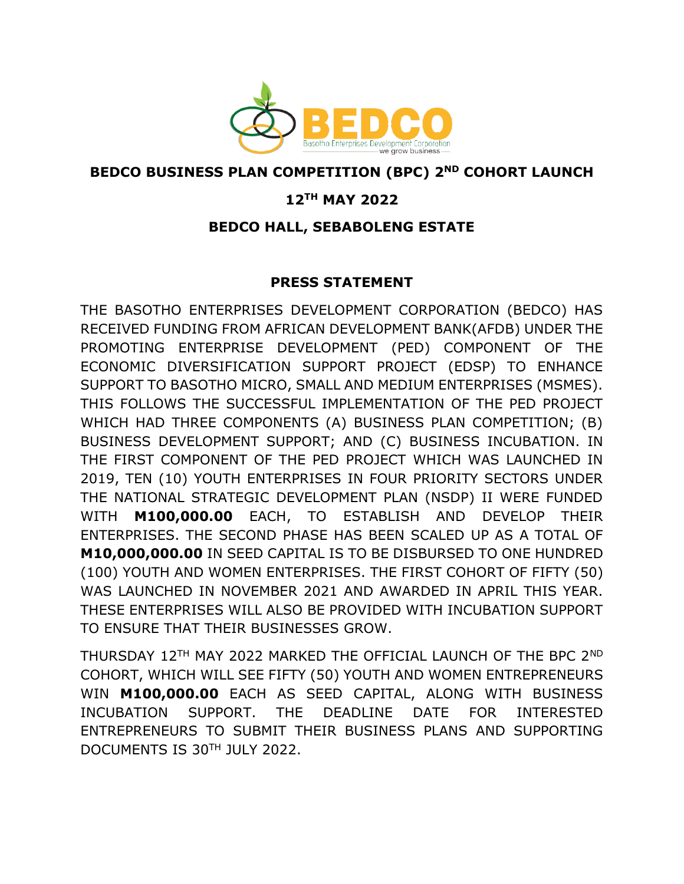

## **BEDCO BUSINESS PLAN COMPETITION (BPC) 2ND COHORT LAUNCH**

## **12TH MAY 2022**

## **BEDCO HALL, SEBABOLENG ESTATE**

## **PRESS STATEMENT**

THE BASOTHO ENTERPRISES DEVELOPMENT CORPORATION (BEDCO) HAS RECEIVED FUNDING FROM AFRICAN DEVELOPMENT BANK(AFDB) UNDER THE PROMOTING ENTERPRISE DEVELOPMENT (PED) COMPONENT OF THE ECONOMIC DIVERSIFICATION SUPPORT PROJECT (EDSP) TO ENHANCE SUPPORT TO BASOTHO MICRO, SMALL AND MEDIUM ENTERPRISES (MSMES). THIS FOLLOWS THE SUCCESSFUL IMPLEMENTATION OF THE PED PROJECT WHICH HAD THREE COMPONENTS (A) BUSINESS PLAN COMPETITION; (B) BUSINESS DEVELOPMENT SUPPORT; AND (C) BUSINESS INCUBATION. IN THE FIRST COMPONENT OF THE PED PROJECT WHICH WAS LAUNCHED IN 2019, TEN (10) YOUTH ENTERPRISES IN FOUR PRIORITY SECTORS UNDER THE NATIONAL STRATEGIC DEVELOPMENT PLAN (NSDP) II WERE FUNDED WITH **M100,000.00** EACH, TO ESTABLISH AND DEVELOP THEIR ENTERPRISES. THE SECOND PHASE HAS BEEN SCALED UP AS A TOTAL OF **M10,000,000.00** IN SEED CAPITAL IS TO BE DISBURSED TO ONE HUNDRED (100) YOUTH AND WOMEN ENTERPRISES. THE FIRST COHORT OF FIFTY (50) WAS LAUNCHED IN NOVEMBER 2021 AND AWARDED IN APRIL THIS YEAR. THESE ENTERPRISES WILL ALSO BE PROVIDED WITH INCUBATION SUPPORT TO ENSURE THAT THEIR BUSINESSES GROW.

THURSDAY 12TH MAY 2022 MARKED THE OFFICIAL LAUNCH OF THE BPC 2ND COHORT, WHICH WILL SEE FIFTY (50) YOUTH AND WOMEN ENTREPRENEURS WIN **M100,000.00** EACH AS SEED CAPITAL, ALONG WITH BUSINESS INCUBATION SUPPORT. THE DEADLINE DATE FOR INTERESTED ENTREPRENEURS TO SUBMIT THEIR BUSINESS PLANS AND SUPPORTING DOCUMENTS IS 30TH JULY 2022.